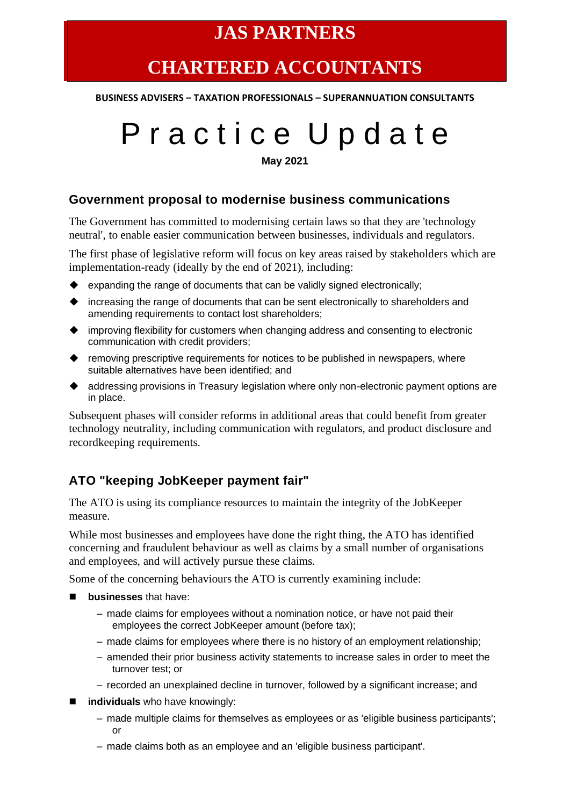## **JAS PARTNERS**

# **CHARTERED ACCOUNTANTS**

**BUSINESS ADVISERS – TAXATION PROFESSIONALS – SUPERANNUATION CONSULTANTS**

# P r a c t i c e U p d a t e

#### **May 2021**

#### **Government proposal to modernise business communications**

The Government has committed to modernising certain laws so that they are 'technology neutral', to enable easier communication between businesses, individuals and regulators.

The first phase of legislative reform will focus on key areas raised by stakeholders which are implementation-ready (ideally by the end of 2021), including:

- ◆ expanding the range of documents that can be validly signed electronically;
- ◆ increasing the range of documents that can be sent electronically to shareholders and amending requirements to contact lost shareholders;
- ◆ improving flexibility for customers when changing address and consenting to electronic communication with credit providers;
- ◆ removing prescriptive requirements for notices to be published in newspapers, where suitable alternatives have been identified; and
- ◆ addressing provisions in Treasury legislation where only non-electronic payment options are in place.

Subsequent phases will consider reforms in additional areas that could benefit from greater technology neutrality, including communication with regulators, and product disclosure and recordkeeping requirements.

#### **ATO "keeping JobKeeper payment fair"**

The ATO is using its compliance resources to maintain the integrity of the JobKeeper measure.

While most businesses and employees have done the right thing, the ATO has identified concerning and fraudulent behaviour as well as claims by a small number of organisations and employees, and will actively pursue these claims.

Some of the concerning behaviours the ATO is currently examining include:

- **businesses** that have:
	- made claims for employees without a nomination notice, or have not paid their employees the correct JobKeeper amount (before tax);
	- made claims for employees where there is no history of an employment relationship;
	- amended their prior business activity statements to increase sales in order to meet the turnover test; or
	- recorded an unexplained decline in turnover, followed by a significant increase; and
- **individuals** who have knowingly:
	- made multiple claims for themselves as employees or as 'eligible business participants'; or
	- made claims both as an employee and an 'eligible business participant'.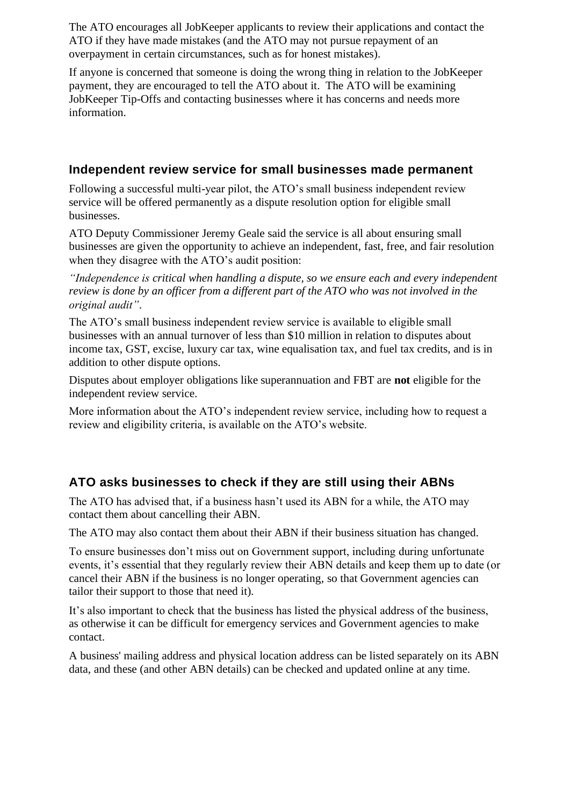The ATO encourages all JobKeeper applicants to review their applications and contact the ATO if they have made mistakes (and the ATO may not pursue repayment of an overpayment in certain circumstances, such as for honest mistakes).

If anyone is concerned that someone is doing the wrong thing in relation to the JobKeeper payment, they are encouraged to tell the ATO about it. The ATO will be examining JobKeeper Tip-Offs and contacting businesses where it has concerns and needs more information.

#### **Independent review service for small businesses made permanent**

Following a successful multi-year pilot, the ATO's small business independent review service will be offered permanently as a dispute resolution option for eligible small businesses.

ATO Deputy Commissioner Jeremy Geale said the service is all about ensuring small businesses are given the opportunity to achieve an independent, fast, free, and fair resolution when they disagree with the ATO's audit position:

*"Independence is critical when handling a dispute, so we ensure each and every independent review is done by an officer from a different part of the ATO who was not involved in the original audit"*.

The ATO's small business independent review service is available to eligible small businesses with an annual turnover of less than \$10 million in relation to disputes about income tax, GST, excise, luxury car tax, wine equalisation tax, and fuel tax credits, and is in addition to other dispute options.

Disputes about employer obligations like superannuation and FBT are **not** eligible for the independent review service.

More information about the ATO's independent review service, including how to request a review and eligibility criteria, is available on the ATO's website.

## **ATO asks businesses to check if they are still using their ABNs**

The ATO has advised that, if a business hasn't used its ABN for a while, the ATO may contact them about cancelling their ABN.

The ATO may also contact them about their ABN if their business situation has changed.

To ensure businesses don't miss out on Government support, including during unfortunate events, it's essential that they regularly review their ABN details and keep them up to date (or cancel their ABN if the business is no longer operating, so that Government agencies can tailor their support to those that need it).

It's also important to check that the business has listed the physical address of the business, as otherwise it can be difficult for emergency services and Government agencies to make contact.

A business' mailing address and physical location address can be listed separately on its ABN data, and these (and other ABN details) can be checked and updated online at any time.